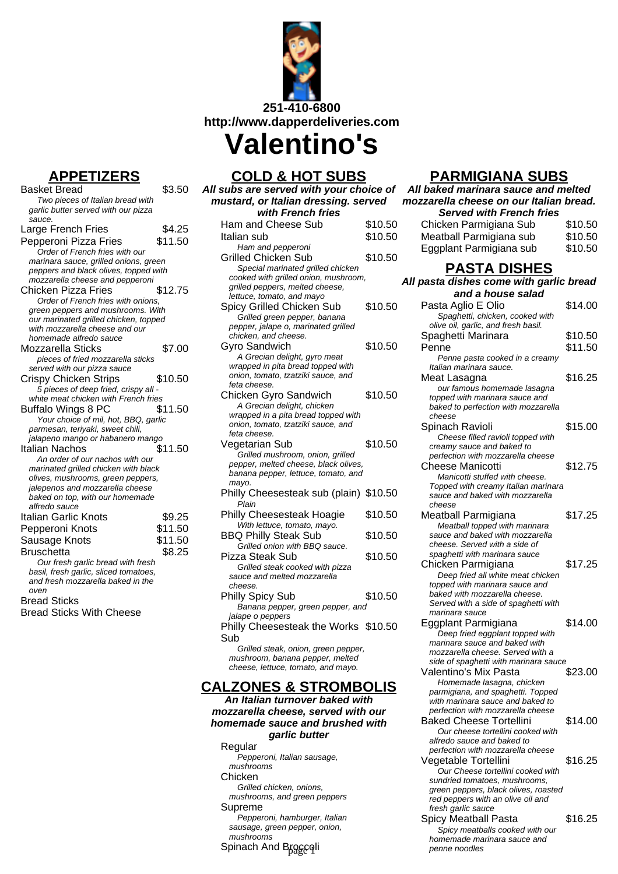

## **APPETIZERS**

| . .<br>Basket Bread                                                | \$3.50  |
|--------------------------------------------------------------------|---------|
| Two pieces of Italian bread with                                   |         |
| garlic butter served with our pizza                                |         |
| sauce.                                                             |         |
| Large French Fries                                                 | \$4.25  |
| Pepperoni Pizza Fries                                              | \$11.50 |
| Order of French fries with our                                     |         |
| marinara sauce, grilled onions, green                              |         |
| peppers and black olives, topped with                              |         |
| mozzarella cheese and pepperoni                                    |         |
| Chicken Pizza Fries                                                | \$12.75 |
| Order of French fries with onions,                                 |         |
| green peppers and mushrooms. With                                  |         |
| our marinated grilled chicken, topped                              |         |
| with mozzarella cheese and our                                     |         |
| homemade alfredo sauce                                             |         |
| Mozzarella Sticks                                                  | \$7.00  |
| pieces of fried mozzarella sticks                                  |         |
| served with our pizza sauce                                        |         |
| Crispy Chicken Strips                                              | \$10.50 |
| 5 pieces of deep fried, crispy all -                               |         |
| white meat chicken with French fries                               |         |
| <b>Buffalo Wings 8 PC</b>                                          | \$11.50 |
| Your choice of mil, hot, BBQ, garlic                               |         |
| parmesan, teriyaki, sweet chili,                                   |         |
| jalapeno mango or habanero mango                                   |         |
| Italian Nachos                                                     | \$11.50 |
| An order of our nachos with our                                    |         |
| marinated grilled chicken with black                               |         |
| olives, mushrooms, green peppers,                                  |         |
| jalepenos and mozzarella cheese<br>baked on top, with our homemade |         |
| alfredo sauce                                                      |         |
| Italian Garlic Knots                                               | \$9.25  |
|                                                                    | \$11.50 |
| Pepperoni Knots                                                    |         |
| Sausage Knots                                                      | \$11.50 |
| Bruschetta                                                         | \$8.25  |
| Our fresh garlic bread with fresh                                  |         |
| basil, fresh garlic, sliced tomatoes,                              |         |
| and fresh mozzarella baked in the                                  |         |
| oven<br><b>Bread Sticks</b>                                        |         |
|                                                                    |         |
| <b>Bread Sticks With Cheese</b>                                    |         |
|                                                                    |         |

**COLD & HOT SUBS**

| All subs are served with your choice of                                 |         |  |
|-------------------------------------------------------------------------|---------|--|
| mustard, or Italian dressing. served                                    |         |  |
| with French fries                                                       |         |  |
| Ham and Cheese Sub                                                      | \$10.50 |  |
| Italian sub                                                             | \$10.50 |  |
| Ham and pepperoni                                                       |         |  |
| <b>Grilled Chicken Sub</b>                                              | \$10.50 |  |
| Special marinated grilled chicken                                       |         |  |
| cooked with grilled onion, mushroom,<br>grilled peppers, melted cheese, |         |  |
| lettuce, tomato, and mayo                                               |         |  |
| Spicy Grilled Chicken Sub                                               | \$10.50 |  |
| Grilled green pepper, banana                                            |         |  |
| pepper, jalape o, marinated grilled                                     |         |  |
| chicken, and cheese.                                                    |         |  |
| <b>Gyro Sandwich</b>                                                    | \$10.50 |  |
| A Grecian delight, gyro meat<br>wrapped in pita bread topped with       |         |  |
| onion, tomato, tzatziki sauce, and                                      |         |  |
| feta cheese.                                                            |         |  |
| <b>Chicken Gyro Sandwich</b>                                            | \$10.50 |  |
| A Grecian delight, chicken                                              |         |  |
| wrapped in a pita bread topped with                                     |         |  |
| onion, tomato, tzatziki sauce, and                                      |         |  |
| feta cheese.<br>Vegetarian Sub                                          | \$10.50 |  |
| Grilled mushroom, onion, grilled                                        |         |  |
| pepper, melted cheese, black olives,                                    |         |  |
| banana pepper, lettuce, tomato, and                                     |         |  |
| mayo.                                                                   |         |  |
| Philly Cheesesteak sub (plain) \$10.50                                  |         |  |
| Plain                                                                   |         |  |
| Philly Cheesesteak Hoagie<br>With lettuce, tomato, mayo.                | \$10.50 |  |
| <b>BBQ Philly Steak Sub</b>                                             | \$10.50 |  |
| Grilled onion with BBQ sauce.                                           |         |  |
| Pizza Steak Sub                                                         | \$10.50 |  |
| Grilled steak cooked with pizza                                         |         |  |
| sauce and melted mozzarella                                             |         |  |
| cheese.                                                                 |         |  |
| <b>Philly Spicy Sub</b>                                                 | \$10.50 |  |
| Banana pepper, green pepper, and                                        |         |  |
| jalape o peppers<br>Philly Cheesesteak the Works \$10.50                |         |  |
| Sub                                                                     |         |  |
| Grilled steak, onion, green pepper,                                     |         |  |
| mushroom, banana pepper, melted                                         |         |  |
| cheese, lettuce, tomato, and mayo.                                      |         |  |
|                                                                         |         |  |

### **CALZONES & STROMBOLIS**

**An Italian turnover baked with mozzarella cheese, served with our homemade sauce and brushed with garlic butter**

Regular Pepperoni, Italian sausage, mushrooms Chicken Grilled chicken, onions, mushrooms, and green peppers Supreme Pepperoni, hamburger, Italian sausage, green pepper, onion, mushrooms Spinach And Brogcoli

## **PARMIGIANA SUBS**

| All baked marinara sauce and melted                                 |         |  |
|---------------------------------------------------------------------|---------|--|
| mozzarella cheese on our Italian bread.                             |         |  |
| <b>Served with French fries</b>                                     |         |  |
| Chicken Parmigiana Sub                                              | \$10.50 |  |
| Meatball Parmigiana sub                                             | \$10.50 |  |
| Eggplant Parmigiana sub                                             | \$10.50 |  |
| PASTA DISHES<br>All pasta dishes come with garlic bread             |         |  |
| and a house salad                                                   |         |  |
| Pasta Aglio E Olio                                                  | \$14.00 |  |
| Spaghetti, chicken, cooked with                                     |         |  |
| olive oil, garlic, and fresh basil.                                 |         |  |
| Spaghetti Marinara                                                  | \$10.50 |  |
| Penne                                                               | \$11.50 |  |
| Penne pasta cooked in a creamy<br>Italian marinara sauce.           |         |  |
| Meat Lasagna                                                        | \$16.25 |  |
| our famous homemade lasagna                                         |         |  |
| topped with marinara sauce and                                      |         |  |
| baked to perfection with mozzarella<br>cheese                       |         |  |
| Spinach Ravioli                                                     | \$15.00 |  |
| Cheese filled ravioli topped with                                   |         |  |
| creamy sauce and baked to                                           |         |  |
| perfection with mozzarella cheese                                   |         |  |
| <b>Cheese Manicotti</b><br>Manicotti stuffed with cheese.           | \$12.75 |  |
| Topped with creamy Italian marinara                                 |         |  |
| sauce and baked with mozzarella                                     |         |  |
| cheese                                                              |         |  |
| Meatball Parmigiana<br>Meatball topped with marinara                | \$17.25 |  |
| sauce and baked with mozzarella                                     |         |  |
| cheese. Served with a side of                                       |         |  |
| spaghetti with marinara sauce                                       |         |  |
| Chicken Parmigiana<br>Deep fried all white meat chicken             | \$17.25 |  |
| topped with marinara sauce and                                      |         |  |
| baked with mozzarella cheese.                                       |         |  |
| Served with a side of spaghetti with                                |         |  |
| marinara sauce<br>Eggplant Parmigiana                               | \$14.00 |  |
| Deep fried eggplant topped with                                     |         |  |
| marinara sauce and baked with                                       |         |  |
| mozzarella cheese. Served with a                                    |         |  |
| side of spaghetti with marinara sauce<br>Valentino's Mix Pasta      | \$23.00 |  |
| Homemade lasagna, chicken                                           |         |  |
| parmigiana, and spaghetti. Topped                                   |         |  |
| with marinara sauce and baked to                                    |         |  |
| perfection with mozzarella cheese<br><b>Baked Cheese Tortellini</b> | \$14.00 |  |
| Our cheese tortellini cooked with                                   |         |  |
| alfredo sauce and baked to                                          |         |  |
| perfection with mozzarella cheese                                   |         |  |
| Vegetable Tortellini<br>Our Cheese tortellini cooked with           | \$16.25 |  |
| sundried tomatoes, mushrooms,                                       |         |  |
| green peppers, black olives, roasted                                |         |  |
| red peppers with an olive oil and                                   |         |  |
| fresh garlic sauce<br><b>Spicy Meatball Pasta</b>                   | \$16.25 |  |
| Spicy meatballs cooked with our                                     |         |  |
| homemade marinara sauce and                                         |         |  |
| penne noodles                                                       |         |  |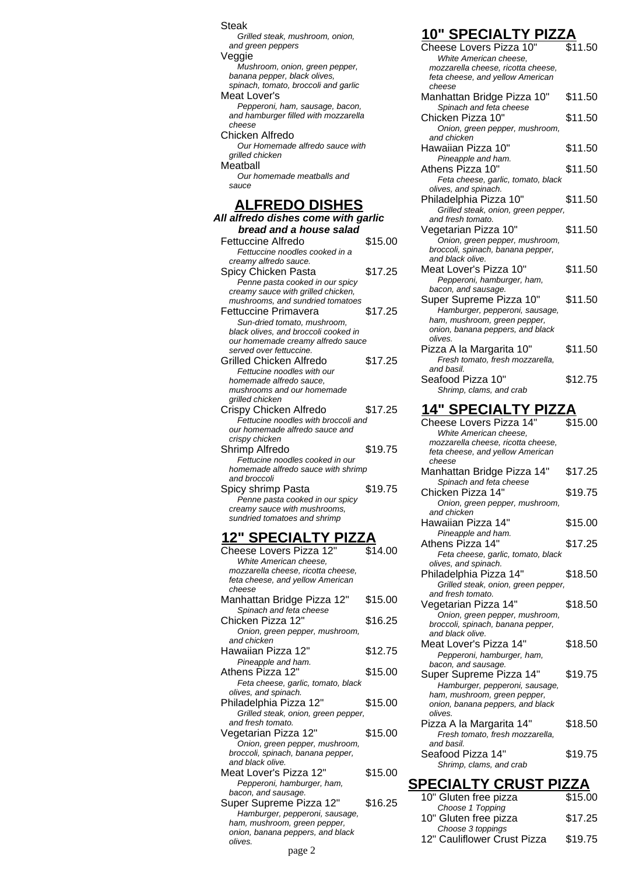Steak Grilled steak, mushroom, onion, and green peppers Veggie Mushroom, onion, green pepper, banana pepper, black olives, spinach, tomato, broccoli and garlic Meat Lover's Pepperoni, ham, sausage, bacon, and hamburger filled with mozzarella cheese Chicken Alfredo Our Homemade alfredo sauce with arilled chicken **Meatball** Our homemade meatballs and sauce

#### **ALFREDO DISHES**

| All alfredo dishes come with garlic                           |         |
|---------------------------------------------------------------|---------|
| bread and a house salad                                       |         |
| Fettuccine Alfredo                                            | \$15.00 |
| Fettuccine noodles cooked in a                                |         |
| creamy alfredo sauce.                                         |         |
| Spicy Chicken Pasta                                           | \$17.25 |
| Penne pasta cooked in our spicy                               |         |
| creamy sauce with grilled chicken,                            |         |
| mushrooms, and sundried tomatoes                              |         |
| Fettuccine Primavera                                          | \$17.25 |
| Sun-dried tomato, mushroom,                                   |         |
| black olives, and broccoli cooked in                          |         |
| our homemade creamy alfredo sauce                             |         |
| served over fettuccine.                                       |         |
| Grilled Chicken Alfredo                                       | \$17.25 |
| Fettucine noodles with our                                    |         |
| homemade alfredo sauce,                                       |         |
| mushrooms and our homemade                                    |         |
| grilled chicken                                               | \$17.25 |
| Crispy Chicken Alfredo<br>Fettucine noodles with broccoli and |         |
| our homemade alfredo sauce and                                |         |
| crispy chicken                                                |         |
| Shrimp Alfredo                                                | \$19.75 |
| Fettucine noodles cooked in our                               |         |
| homemade alfredo sauce with shrimp                            |         |
| and broccoli                                                  |         |
| Spicy shrimp Pasta                                            | \$19.75 |
| Penne pasta cooked in our spicy                               |         |
| creamy sauce with mushrooms,                                  |         |
| sundried tomatoes and shrimp                                  |         |

## **12" SPECIALTY PIZZA**

| Cheese Lovers Pizza 12"             | \$14.00 |
|-------------------------------------|---------|
| White American cheese.              |         |
| mozzarella cheese, ricotta cheese,  |         |
| feta cheese, and yellow American    |         |
| cheese                              |         |
| Manhattan Bridge Pizza 12"          | \$15.00 |
| Spinach and feta cheese             |         |
| Chicken Pizza 12"                   | \$16.25 |
| Onion, green pepper, mushroom,      |         |
| and chicken                         |         |
| Hawaiian Pizza 12"                  | \$12.75 |
| Pineapple and ham.                  |         |
| Athens Pizza 12"                    | \$15.00 |
| Feta cheese, garlic, tomato, black  |         |
| olives, and spinach.                |         |
| Philadelphia Pizza 12"              | \$15.00 |
| Grilled steak, onion, green pepper, |         |
| and fresh tomato.                   |         |
| Vegetarian Pizza 12"                | \$15.00 |
| Onion, green pepper, mushroom,      |         |
| broccoli, spinach, banana pepper,   |         |
| and black olive.                    |         |
| Meat Lover's Pizza 12"              | \$15.00 |
| Pepperoni, hamburger, ham,          |         |
| bacon, and sausage.                 |         |
| Super Supreme Pizza 12"             | \$16.25 |
| Hamburger, pepperoni, sausage,      |         |
| ham, mushroom, green pepper,        |         |
| onion, banana peppers, and black    |         |
| olives.                             |         |

## **10" SPECIALTY PIZZA**

| $V = V H + I$<br>Cheese Lovers Pizza 10"                               | \$11.50 |
|------------------------------------------------------------------------|---------|
| White American cheese,<br>mozzarella cheese, ricotta cheese,           |         |
| feta cheese, and yellow American                                       |         |
| cheese<br>Manhattan Bridge Pizza 10"                                   | \$11.50 |
| Spinach and feta cheese<br>Chicken Pizza 10"                           | \$11.50 |
| Onion, green pepper, mushroom,                                         |         |
| and chicken<br>Hawaiian Pizza 10"                                      | \$11.50 |
| Pineapple and ham.<br>Athens Pizza 10"                                 | \$11.50 |
| Feta cheese, garlic, tomato, black                                     |         |
| olives, and spinach.<br>Philadelphia Pizza 10"                         | \$11.50 |
| Grilled steak, onion, green pepper,                                    |         |
| and fresh tomato.<br>Vegetarian Pizza 10"                              | \$11.50 |
| Onion, green pepper, mushroom,                                         |         |
| broccoli, spinach, banana pepper,<br>and black olive.                  |         |
| Meat Lover's Pizza 10"                                                 | \$11.50 |
| Pepperoni, hamburger, ham,<br>bacon, and sausage.                      |         |
| Super Supreme Pizza 10"                                                | \$11.50 |
| Hamburger, pepperoni, sausage,<br>ham, mushroom, green pepper,         |         |
| onion, banana peppers, and black<br>olives.                            |         |
| Pizza A la Margarita 10"                                               | \$11.50 |
| Fresh tomato, fresh mozzarella,<br>and basil.                          |         |
| Seafood Pizza 10"                                                      | \$12.75 |
| Shrimp, clams, and crab                                                |         |
| <u>14" SPECIALTY PIZZA</u>                                             |         |
| Cheese Lovers Pizza 14"<br>White American cheese,                      | \$15.00 |
| mozzarella cheese, ricotta cheese,<br>feta cheese, and yellow American |         |
| cheese                                                                 |         |
| Manhattan Bridge Pizza 14"<br>Spinach and feta cheese                  | \$17.25 |
| Chicken Pizza 14"                                                      | \$19.75 |
| Onion, green pepper, mushroom,<br>and chicken                          |         |
| Hawaiian Pizza 14"                                                     | \$15.00 |
| Pineapple and ham.<br>Athens Pizza 14"                                 | \$17.25 |
| Feta cheese, garlic, tomato, black                                     |         |
| olives, and spinach.<br>Philadelphia Pizza 14"                         | \$18.50 |
| Grilled steak, onion, green pepper,<br>and fresh tomato.               |         |
| Vegetarian Pizza 14"                                                   | \$18.50 |
| Onion, green pepper, mushroom,<br>broccoli, spinach, banana pepper,    |         |
| and black olive.                                                       |         |
| Meat Lover's Pizza 14"<br>Pepperoni, hamburger, ham,                   | \$18.50 |
| bacon, and sausage.<br>Super Supreme Pizza 14"                         | \$19.75 |
| Hamburger, pepperoni, sausage,                                         |         |
| ham, mushroom, green pepper,<br>onion, banana peppers, and black       |         |
| olives.                                                                |         |
| Pizza A la Margarita 14"<br>Fresh tomato, fresh mozzarella,            | \$18.50 |
| and basil.<br>Seafood Pizza 14"                                        | \$19.75 |
| Shrimp, clams, and crab                                                |         |
| <u>SPECIALTY CRUST PIZZA</u>                                           |         |
| 10" Gluten free pizza                                                  | \$15.00 |

Choose 1 Topping

Choose 3 toppings

10" Gluten free pizza  $$17.25$ 

12" Cauliflower Crust Pizza \$19.75